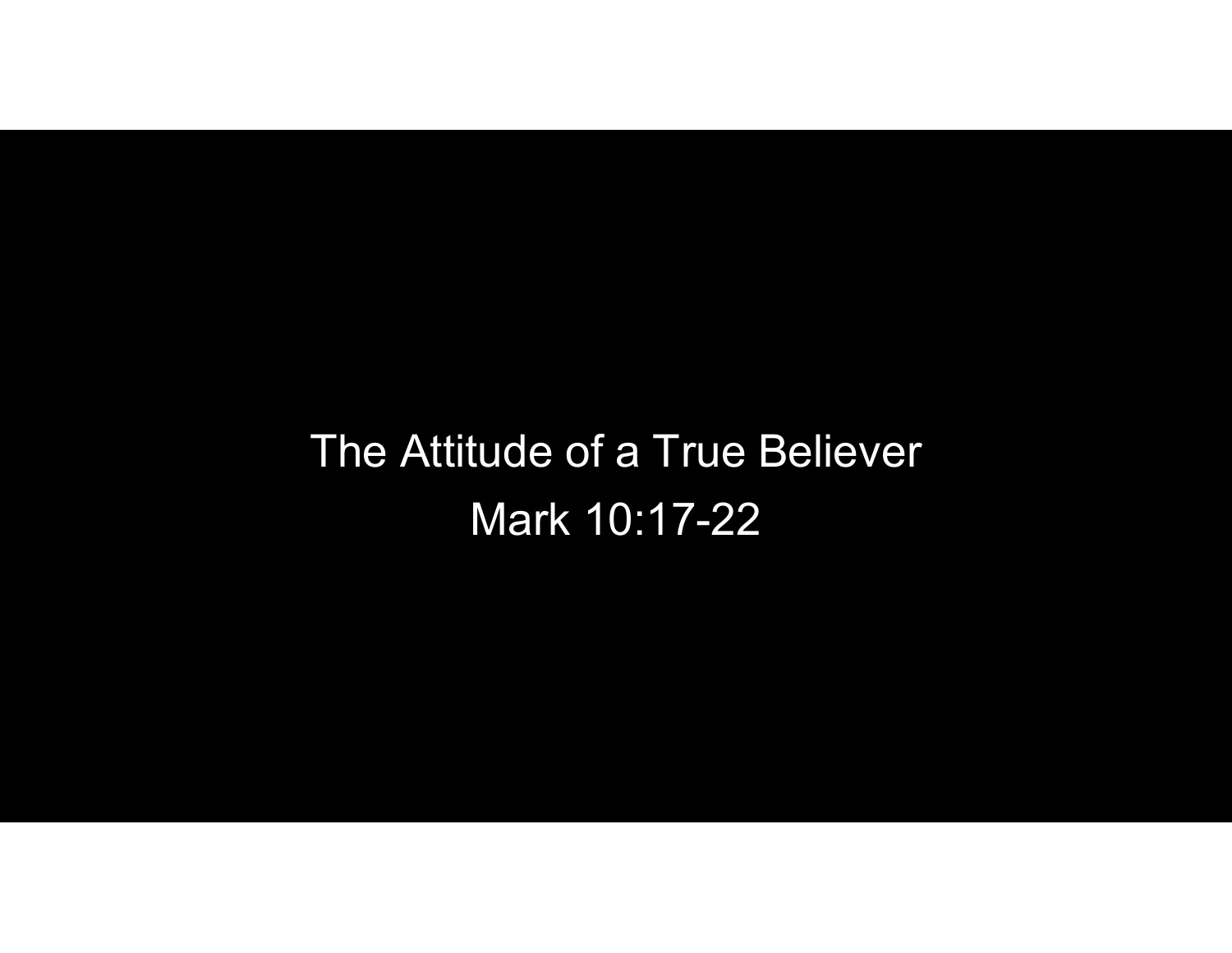## The Attitude of a True Believer Mark 10:17-22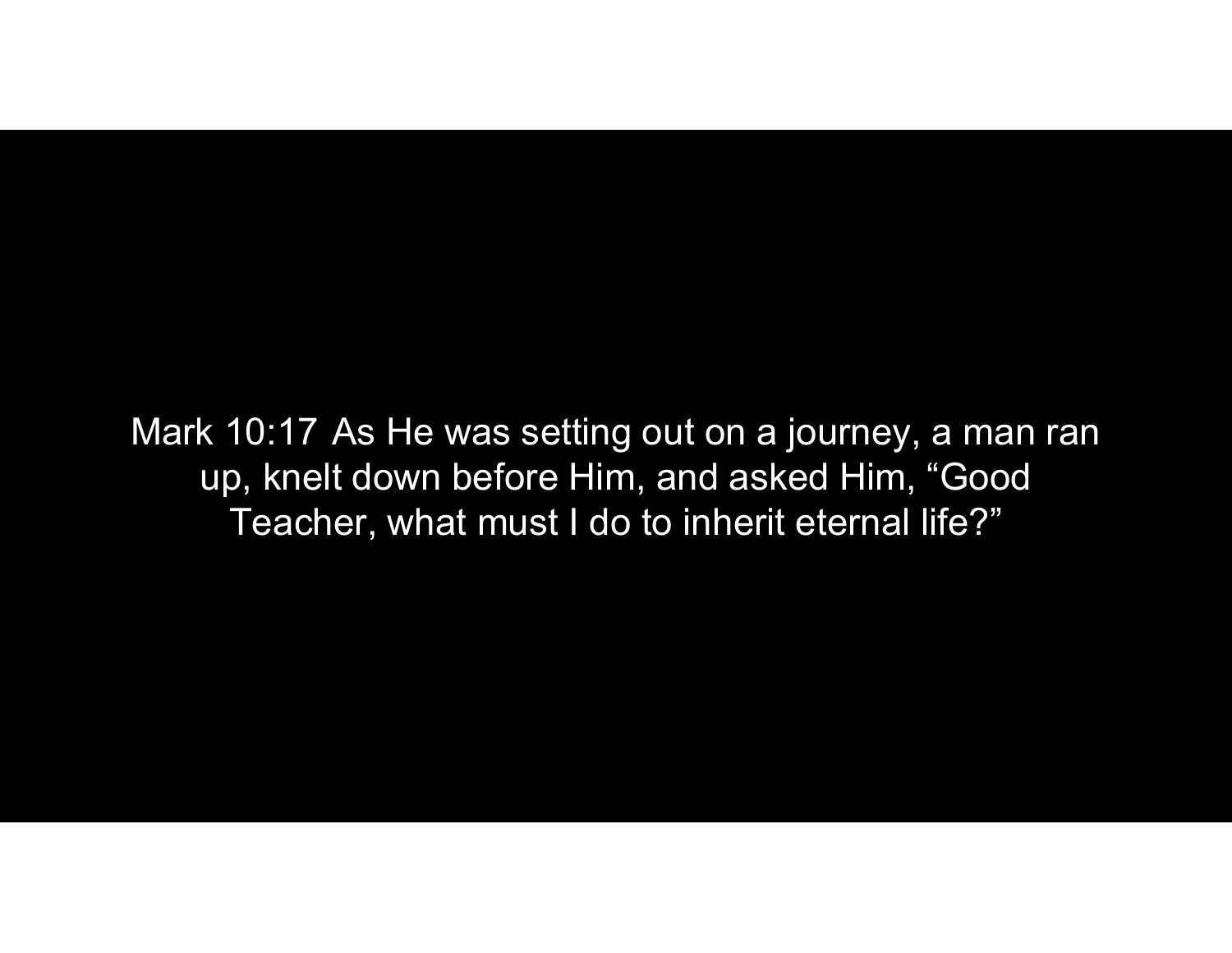Mark 10:17 As He was setting out on a journey, a man ran up, knelt down before Him, and asked Him, "Good Teacher, what must I do to inherit eternal life?"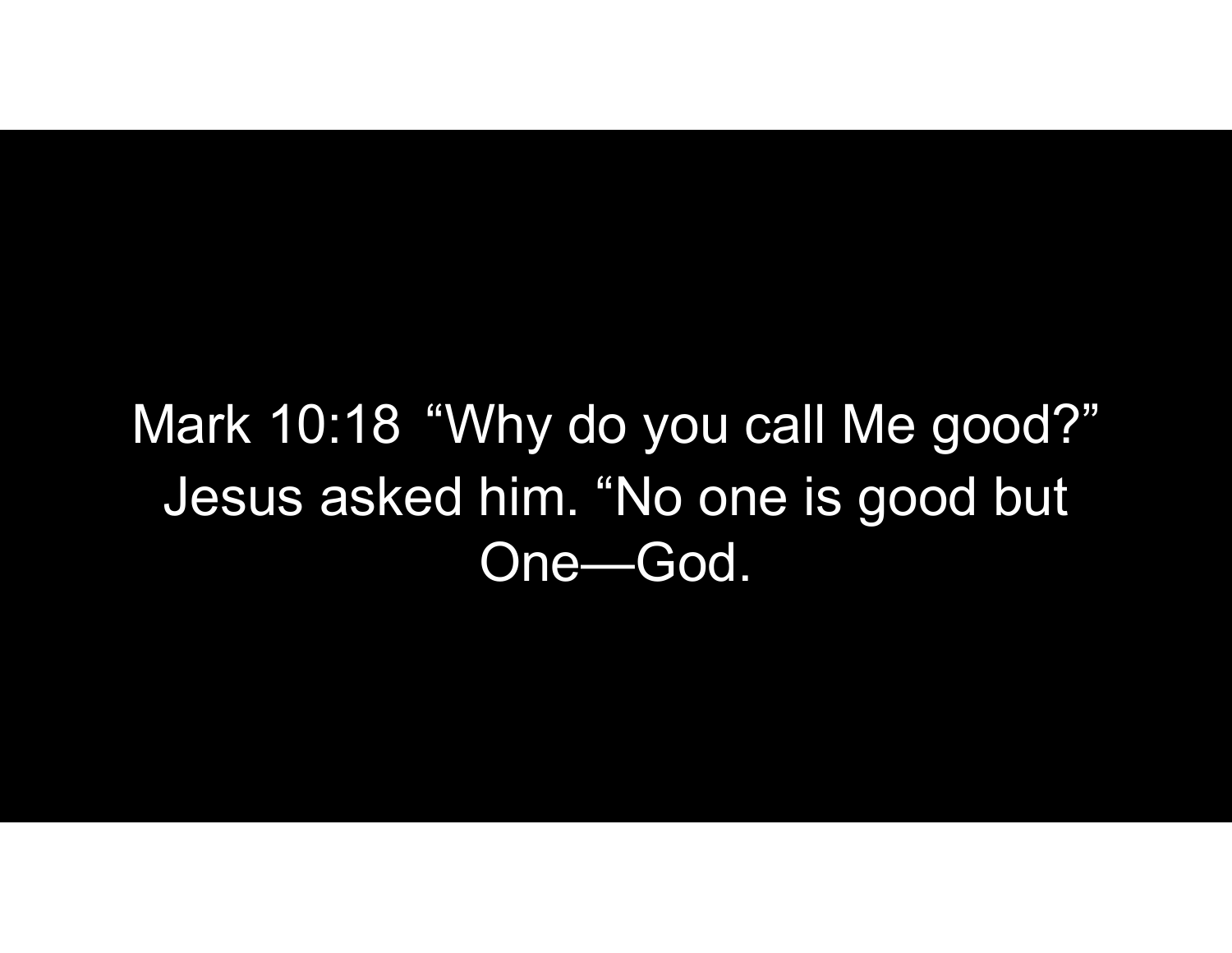Mark 10:18 "Why do you call Me good?"<br>Jesus asked him. "No one is good but Jesus asked him. "No one is good but One—God.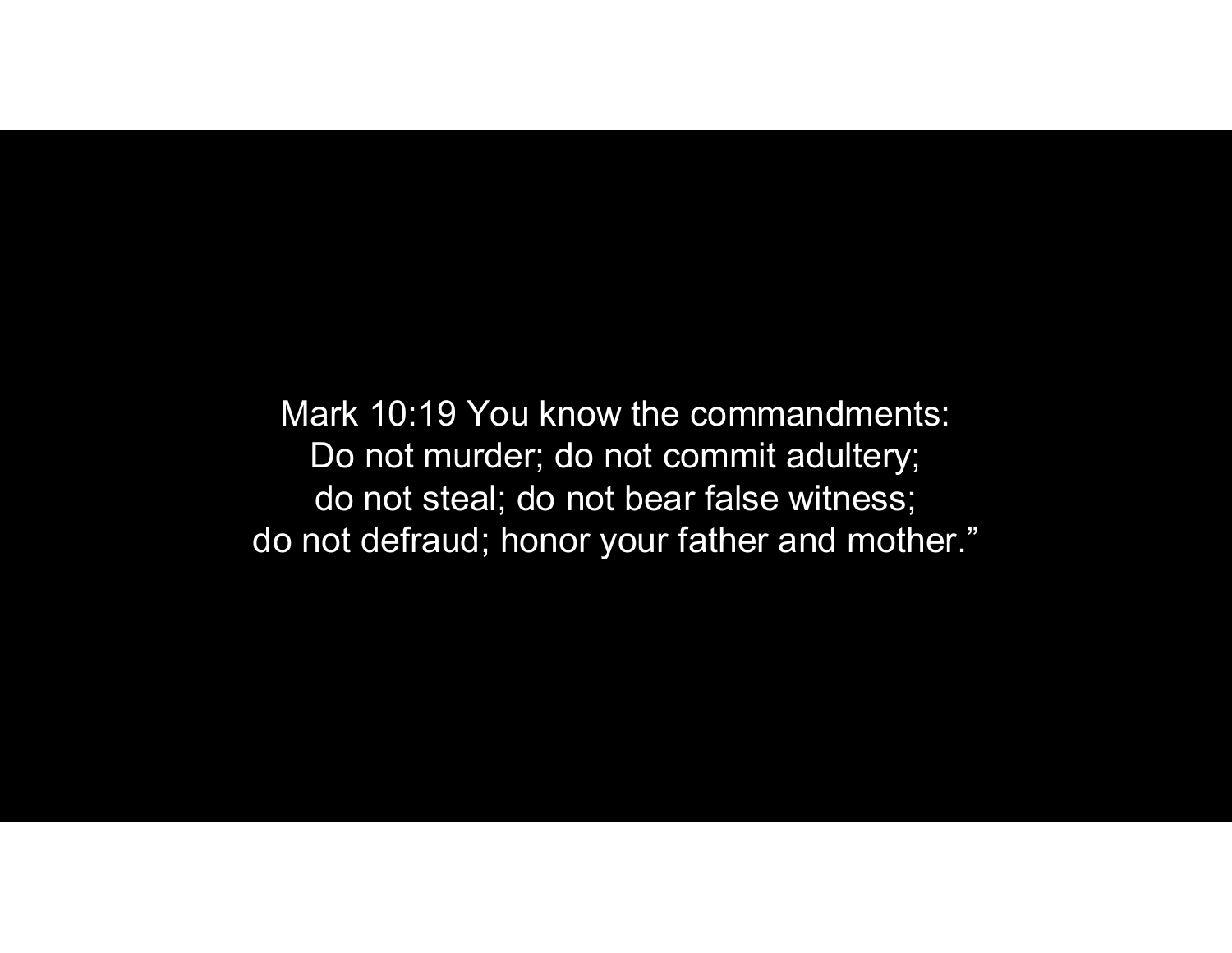Mark 10:19 You know the commandments: Do not murder; do not commit adultery; do not steal; do not bear false witness; do not defraud; honor your father and mother."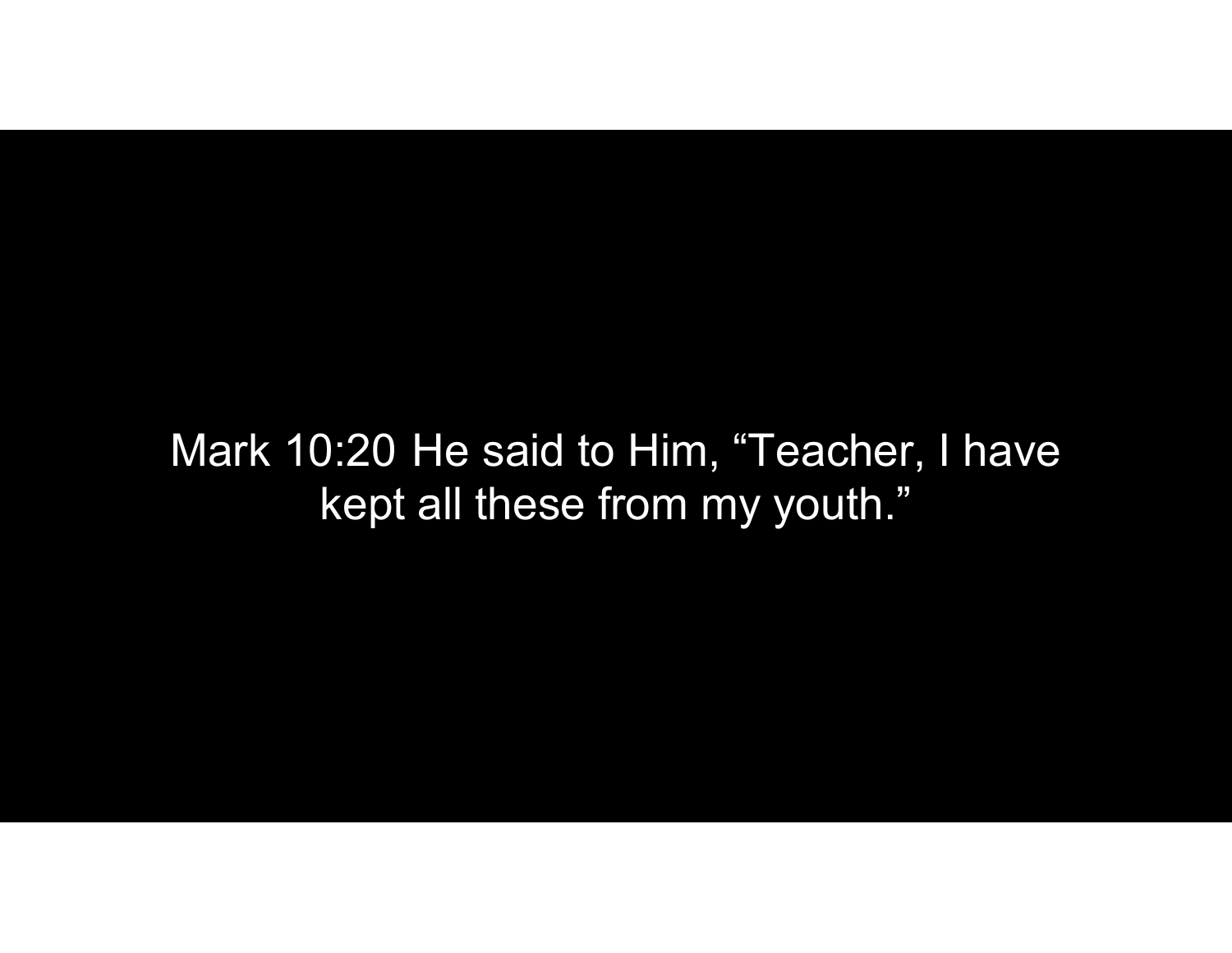Mark 10:20 He said to Him, "Teacher, I have kept all these from my youth."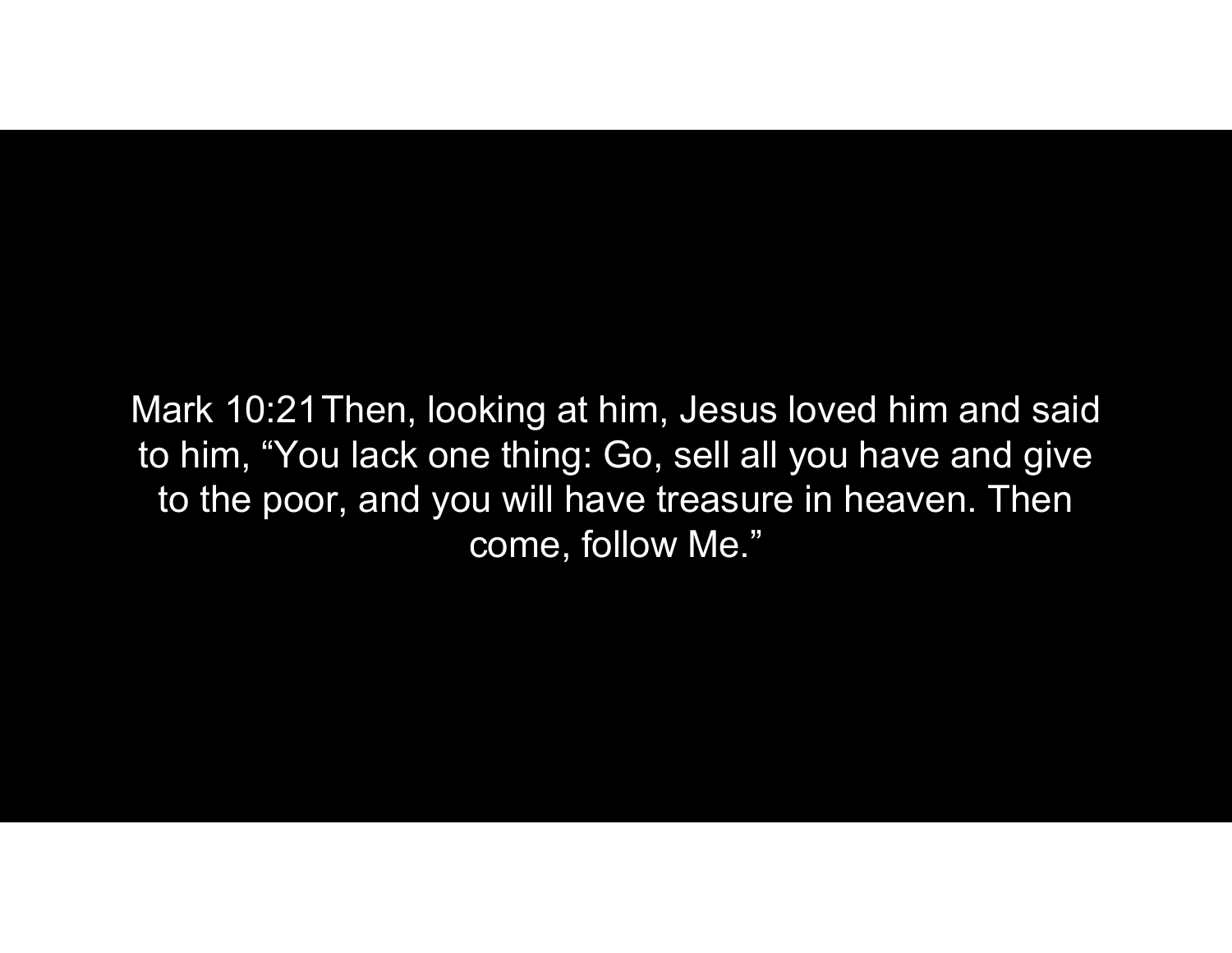Mark 10:21Then, looking at him, Jesus loved him and said to him, "You lack one thing: Go, sell all you have and give to the poor, and you will have treasure in heaven. Then come, follow Me."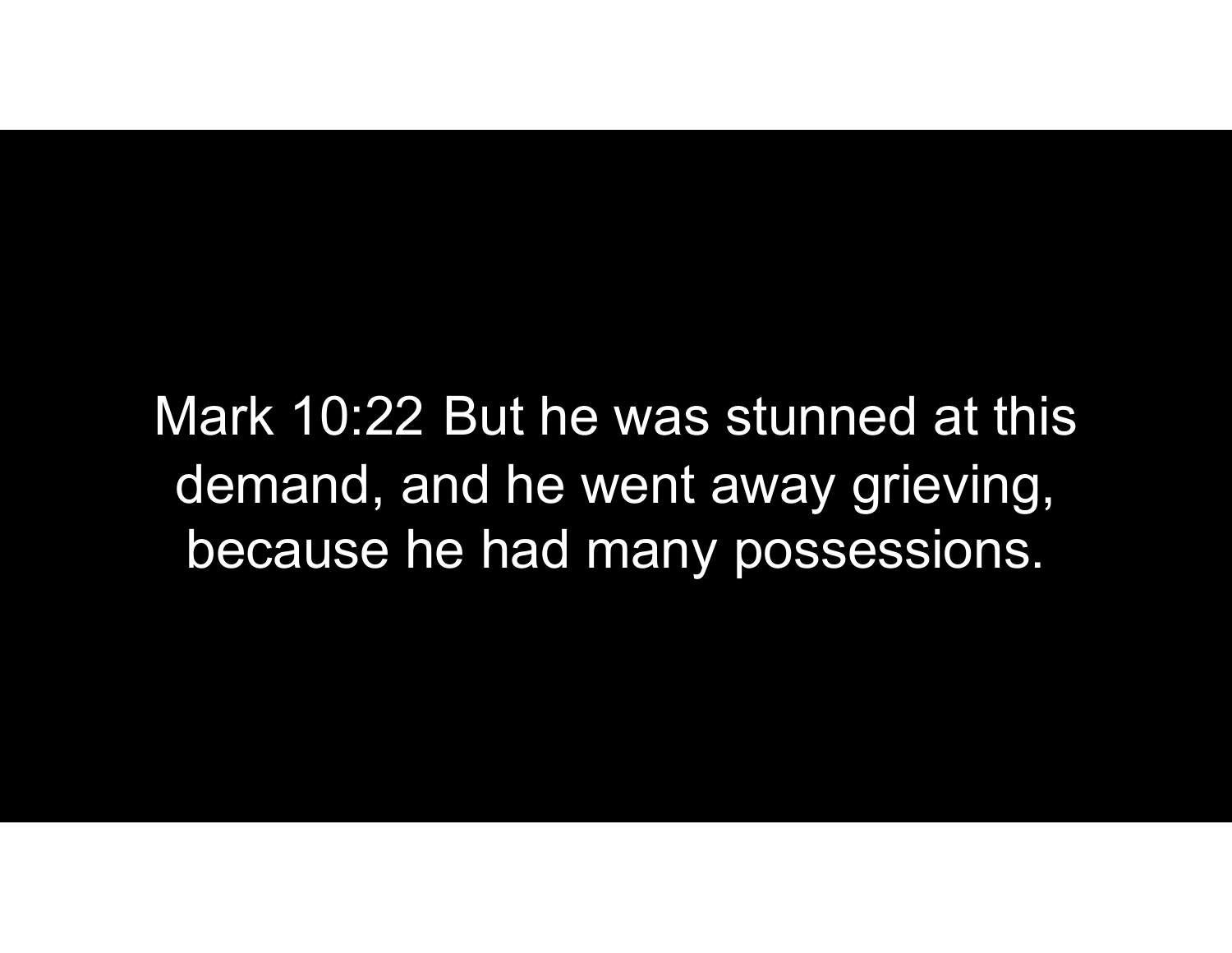Mark 10:22 But he was stunned at this<br>demand, and he went away grieving, demand, and he went away grieving, because he had many possessions.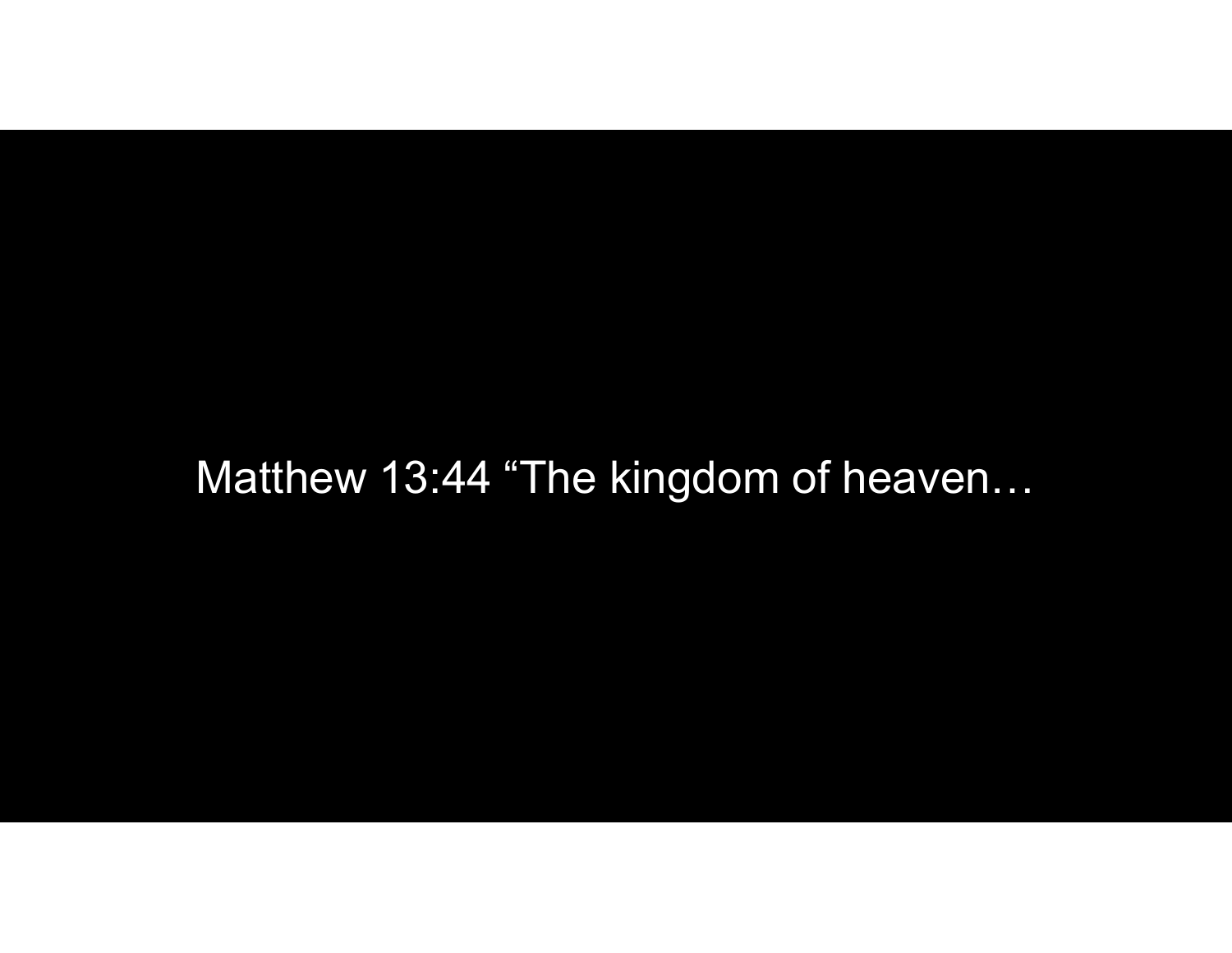## Matthew 13:44 "The kingdom of heaven…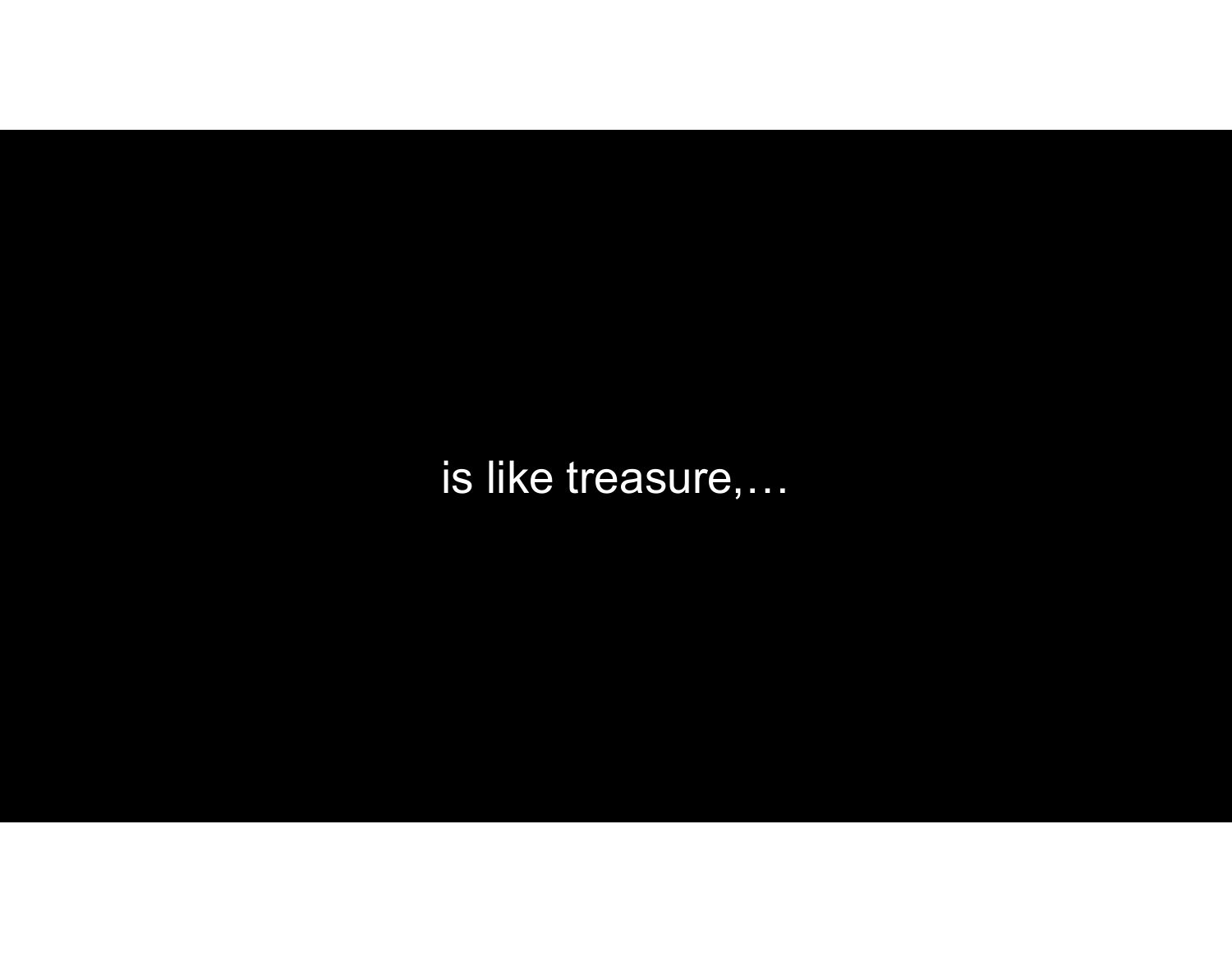is like treasure,...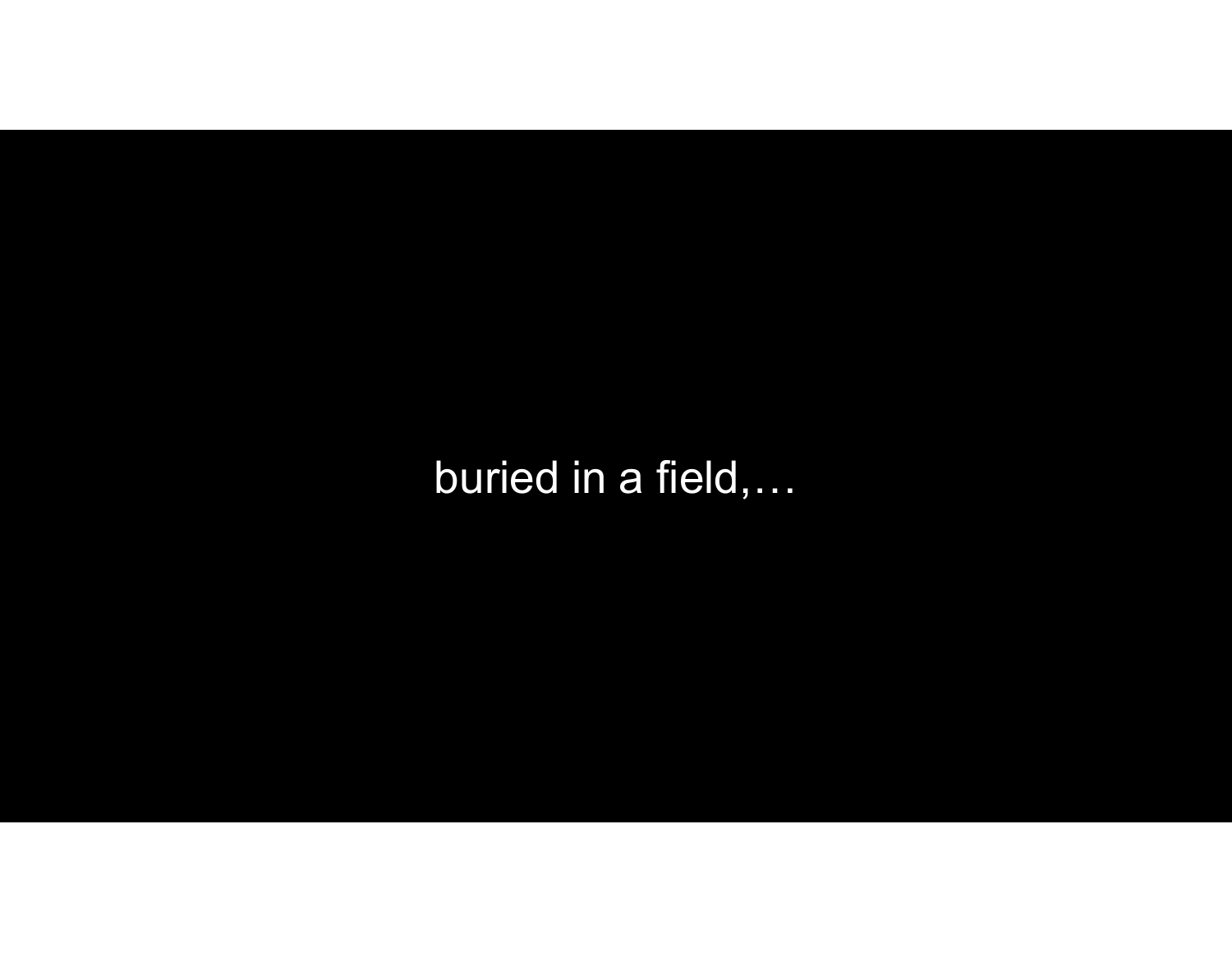buried in a field,...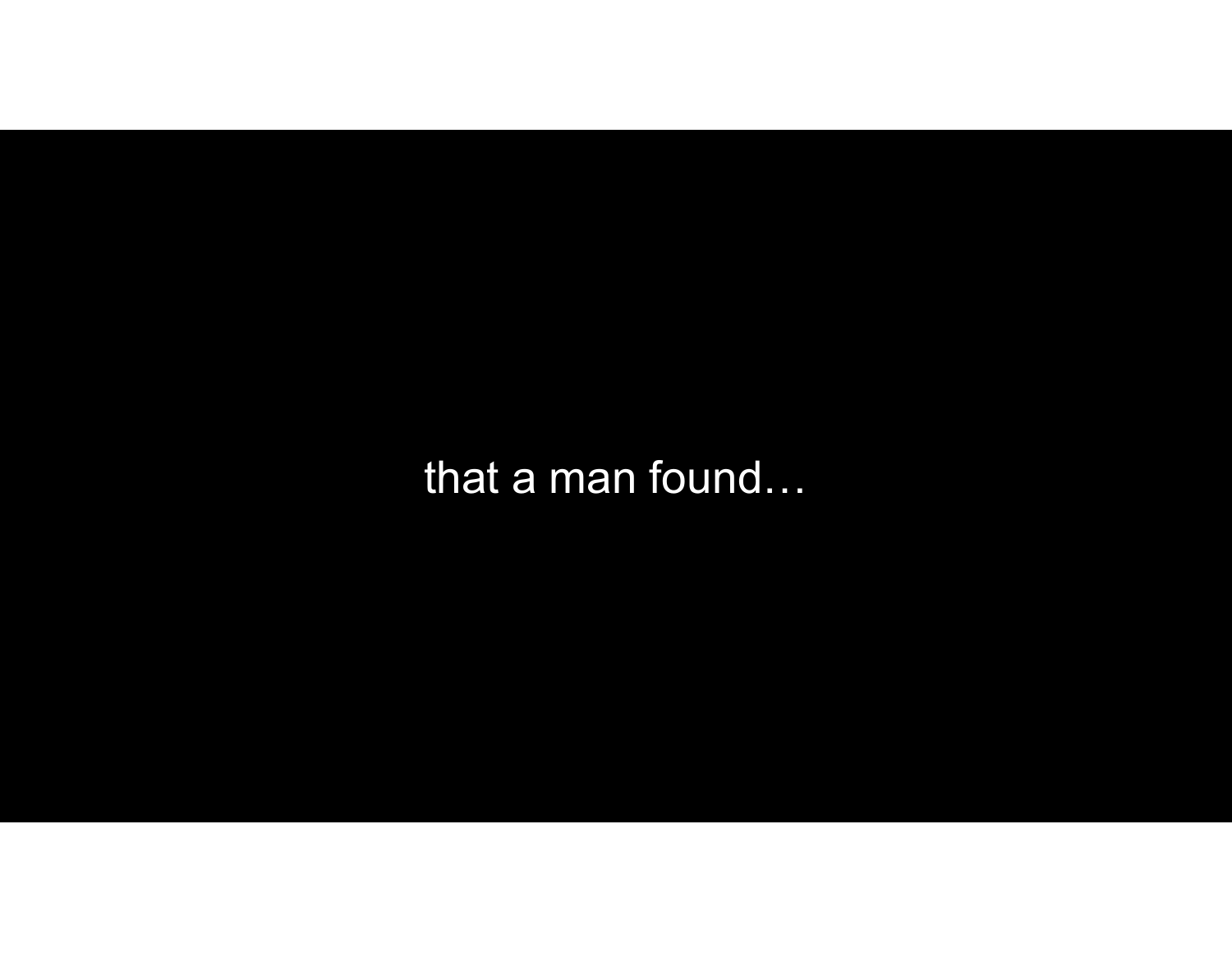that a man found...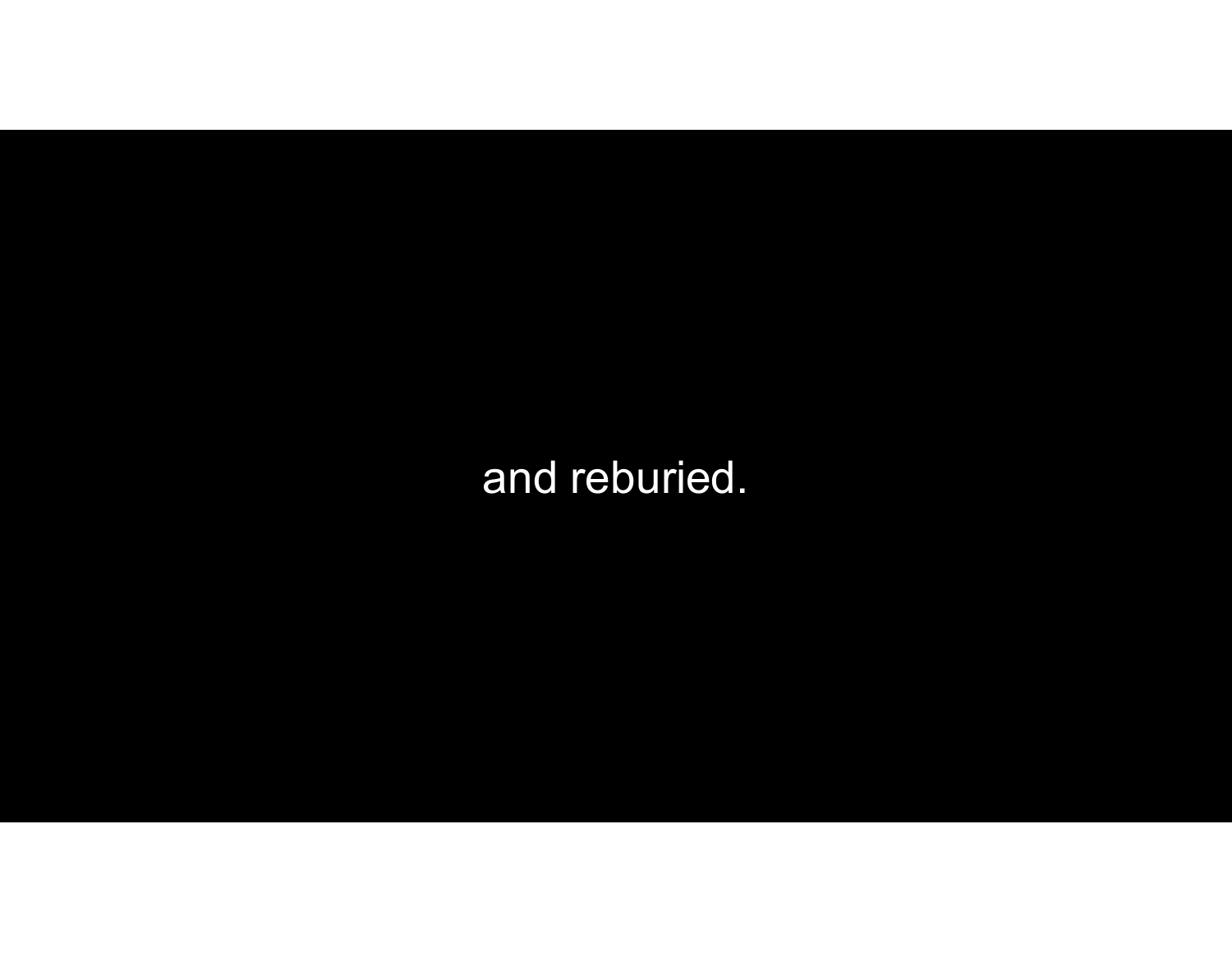and reburied.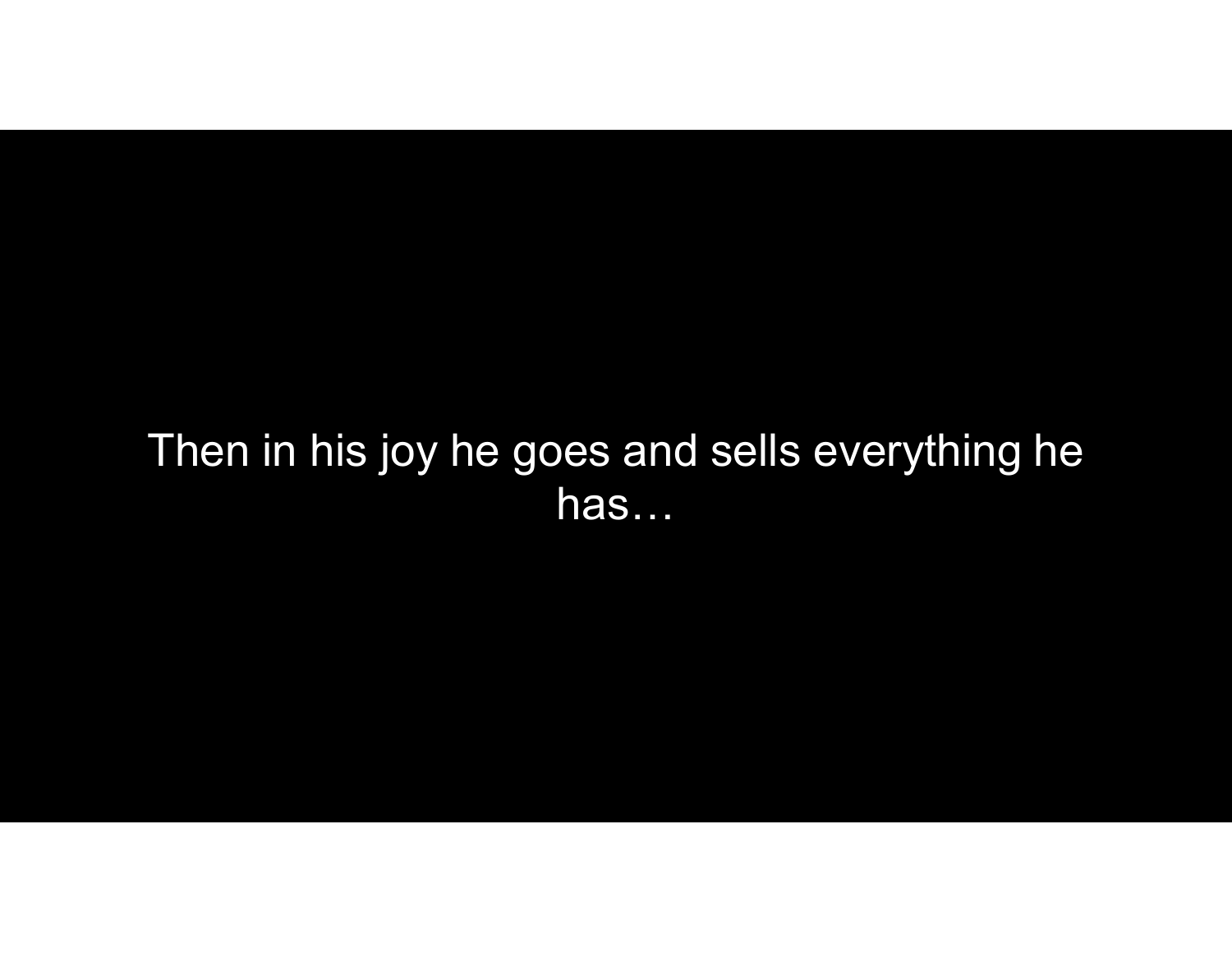## Then in his joy he goes and sells everything he has…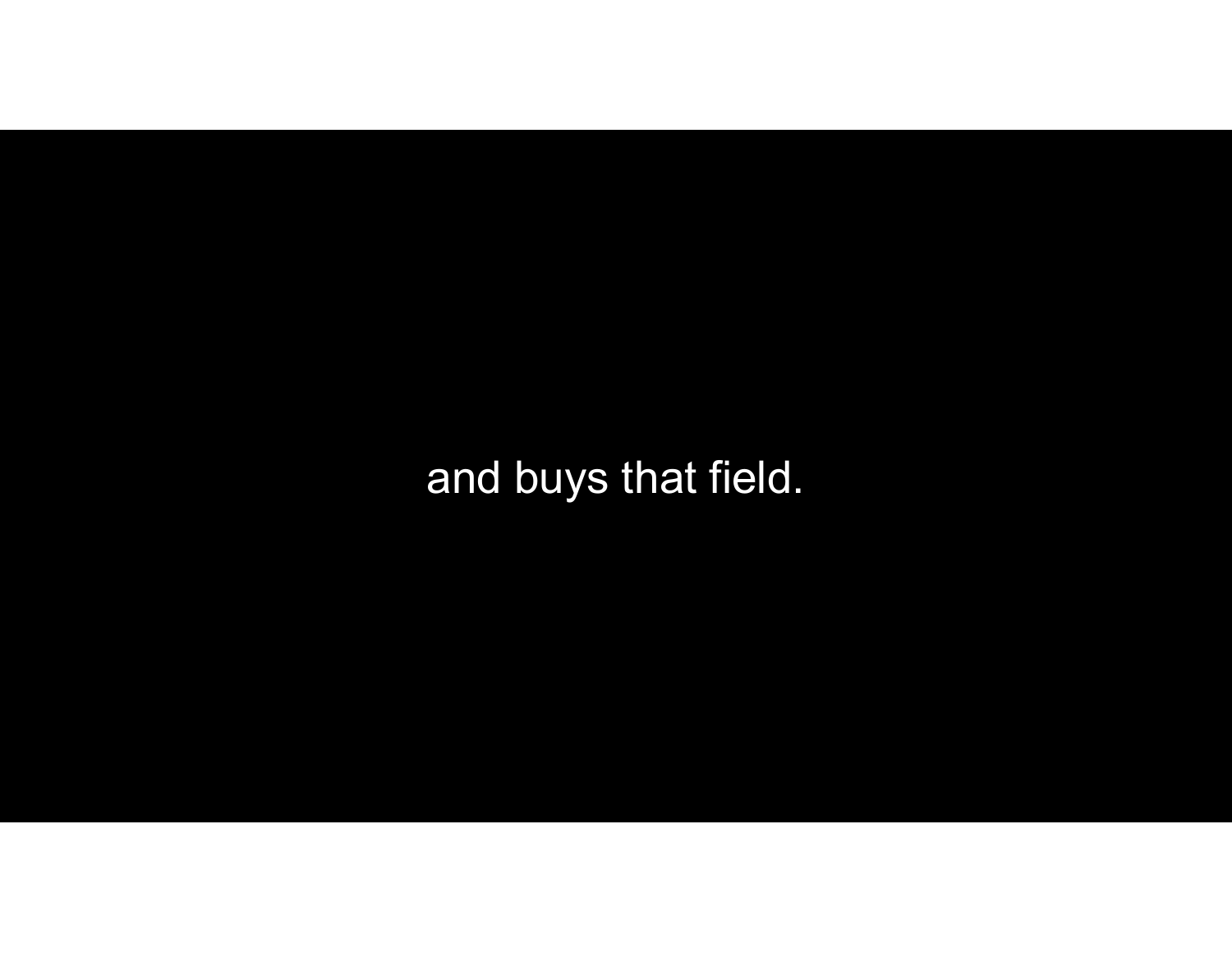and buys that field.